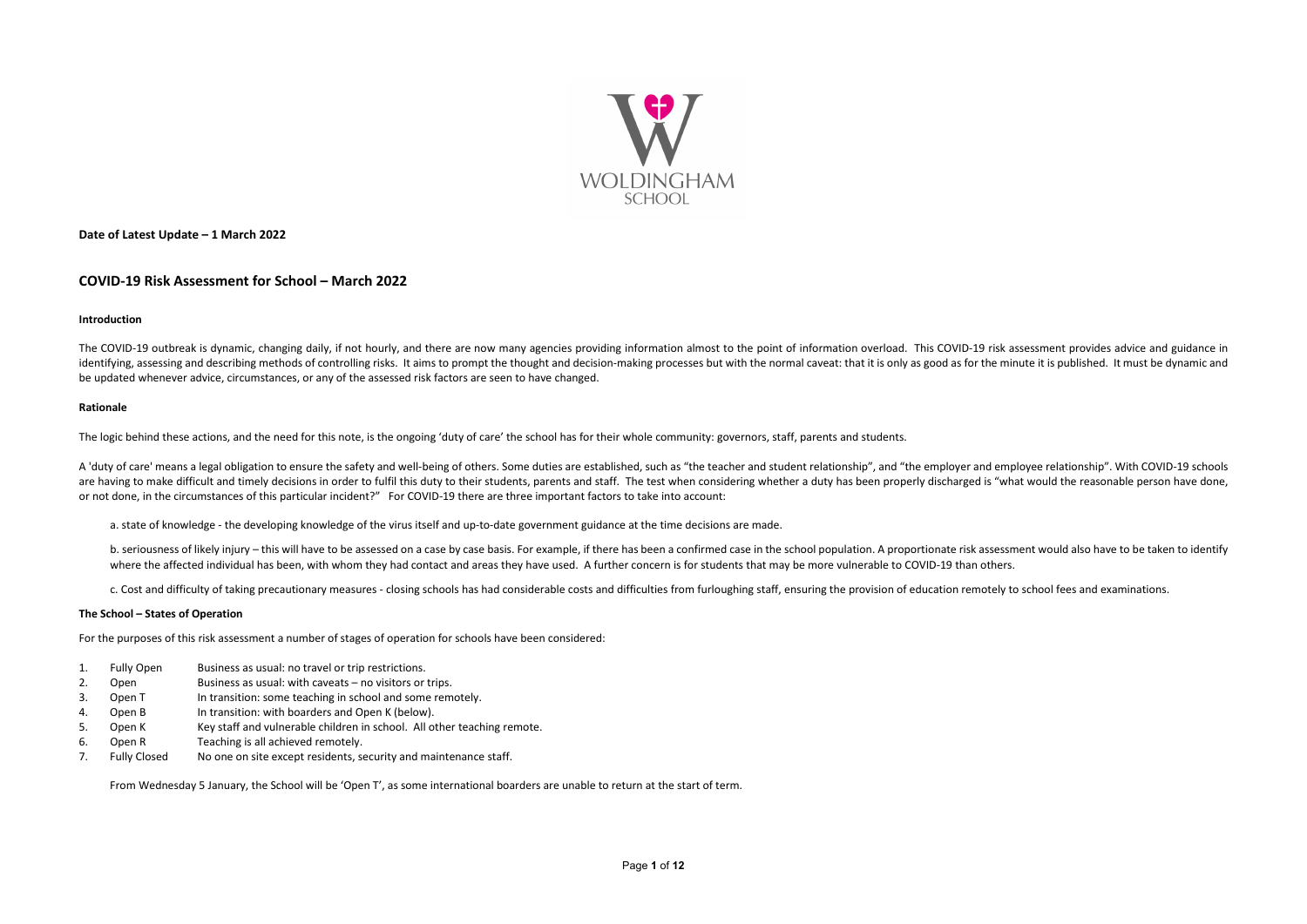

**Date of Latest Update – 1 March 2022**

### **COVID-19 Risk Assessment for School – March 2022**

#### **Introduction**

The COVID-19 outbreak is dynamic, changing daily, if not hourly, and there are now many agencies providing information almost to the point of information overload. This COVID-19 risk assessment provides advice and guidance identifying, assessing and describing methods of controlling risks. It aims to prompt the thought and decision-making processes but with the normal caveat: that it is only as good as for the minute it is published. It must be updated whenever advice, circumstances, or any of the assessed risk factors are seen to have changed.

#### **Rationale**

A 'duty of care' means a legal obligation to ensure the safety and well-being of others. Some duties are established, such as "the teacher and student relationship", and "the employer and employee relationship". With COVID are having to make difficult and timely decisions in order to fulfil this duty to their students, parents and staff. The test when considering whether a duty has been properly discharged is "what would the reasonable perso or not done, in the circumstances of this particular incident?" For COVID-19 there are three important factors to take into account:

The logic behind these actions, and the need for this note, is the ongoing 'duty of care' the school has for their whole community: governors, staff, parents and students.

- 1. Fully Open Business as usual: no travel or trip restrictions.
- 2. Open Business as usual: with caveats no visitors or trips.
- 3. Open T In transition: some teaching in school and some remotely.
- 4. Open B In transition: with boarders and Open K (below).
- 5. Open K Key staff and vulnerable children in school. All other teaching remote.
- 6. Open R Teaching is all achieved remotely.
- 7. Fully Closed No one on site except residents, security and maintenance staff.

a. state of knowledge - the developing knowledge of the virus itself and up-to-date government guidance at the time decisions are made.

b. seriousness of likely injury - this will have to be assessed on a case by case basis. For example, if there has been a confirmed case in the school population. A proportionate risk assessment would also have to be taken where the affected individual has been, with whom they had contact and areas they have used. A further concern is for students that may be more vulnerable to COVID-19 than others.

c. Cost and difficulty of taking precautionary measures - closing schools has had considerable costs and difficulties from furloughing staff, ensuring the provision of education remotely to school fees and examinations.

#### **The School – States of Operation**

For the purposes of this risk assessment a number of stages of operation for schools have been considered:

From Wednesday 5 January, the School will be 'Open T', as some international boarders are unable to return at the start of term.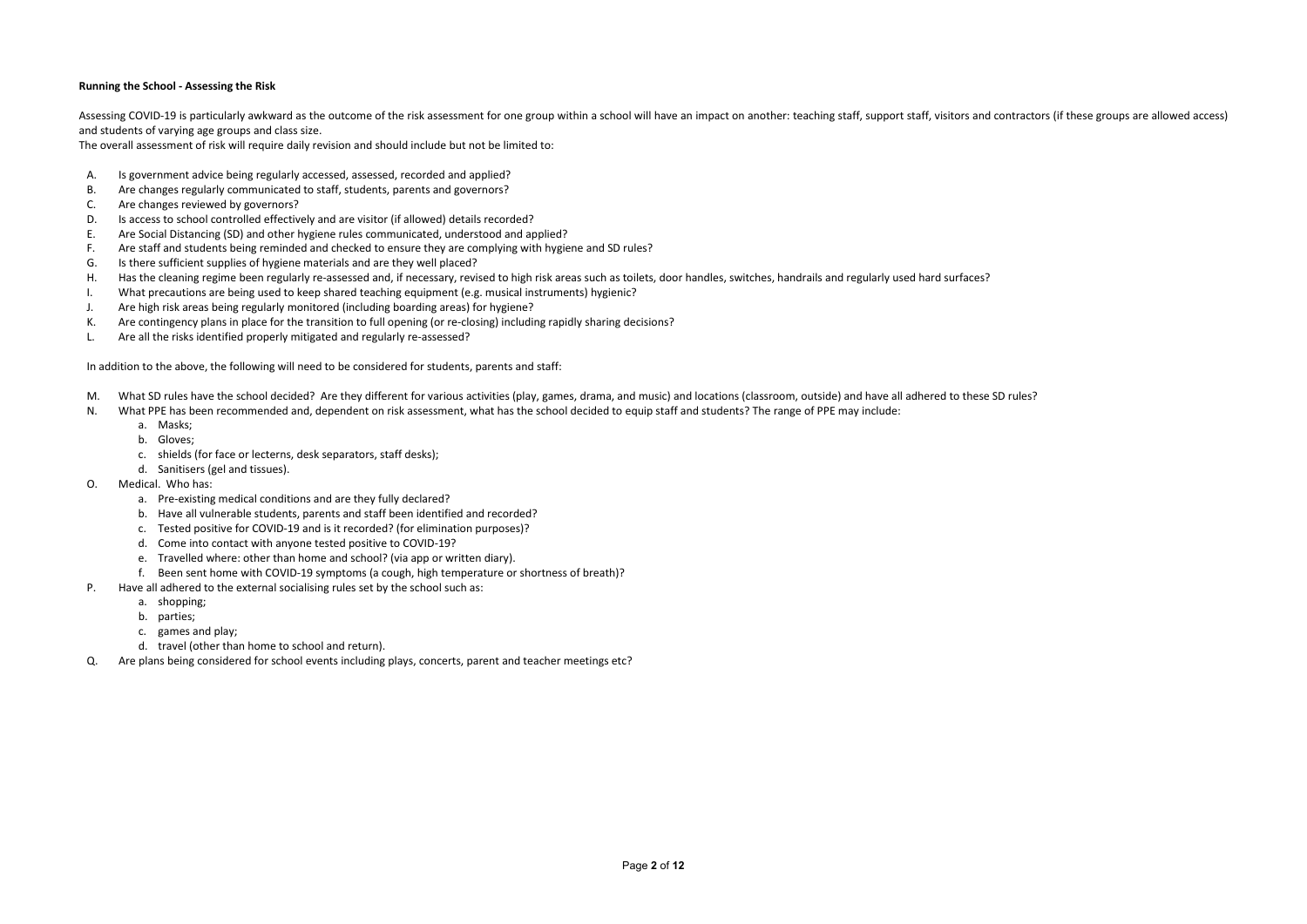#### **Running the School - Assessing the Risk**

Assessing COVID-19 is particularly awkward as the outcome of the risk assessment for one group within a school will have an impact on another: teaching staff, support staff, visitors and contractors (if these groups are al and students of varying age groups and class size.

The overall assessment of risk will require daily revision and should include but not be limited to:

- A. Is government advice being regularly accessed, assessed, recorded and applied?
- B. Are changes regularly communicated to staff, students, parents and governors?
- C. Are changes reviewed by governors?
- D. Is access to school controlled effectively and are visitor (if allowed) details recorded?
- E. Are Social Distancing (SD) and other hygiene rules communicated, understood and applied?
- F. Are staff and students being reminded and checked to ensure they are complying with hygiene and SD rules?
- G. Is there sufficient supplies of hygiene materials and are they well placed?
- H. Has the cleaning regime been regularly re-assessed and, if necessary, revised to high risk areas such as toilets, door handles, switches, handrails and regularly used hard surfaces?
- I. What precautions are being used to keep shared teaching equipment (e.g. musical instruments) hygienic?
- J. Are high risk areas being regularly monitored (including boarding areas) for hygiene?
- K. Are contingency plans in place for the transition to full opening (or re-closing) including rapidly sharing decisions?
- L. Are all the risks identified properly mitigated and regularly re-assessed?

- M. What SD rules have the school decided? Are they different for various activities (play, games, drama, and music) and locations (classroom, outside) and have all adhered to these SD rules?
- N. What PPE has been recommended and, dependent on risk assessment, what has the school decided to equip staff and students? The range of PPE may include:
	- a. Masks;
	- b. Gloves;
	- c. shields (for face or lecterns, desk separators, staff desks);
	- d. Sanitisers (gel and tissues).
- O. Medical. Who has:
	- a. Pre-existing medical conditions and are they fully declared?
	- b. Have all vulnerable students, parents and staff been identified and recorded?
	- c. Tested positive for COVID-19 and is it recorded? (for elimination purposes)?
	- d. Come into contact with anyone tested positive to COVID-19?
	- e. Travelled where: other than home and school? (via app or written diary).
	- f. Been sent home with COVID-19 symptoms (a cough, high temperature or shortness of breath)?
- P. Have all adhered to the external socialising rules set by the school such as:
	- a. shopping;
	- b. parties;
	- c. games and play;
	- d. travel (other than home to school and return).
- Q. Are plans being considered for school events including plays, concerts, parent and teacher meetings etc?

In addition to the above, the following will need to be considered for students, parents and staff: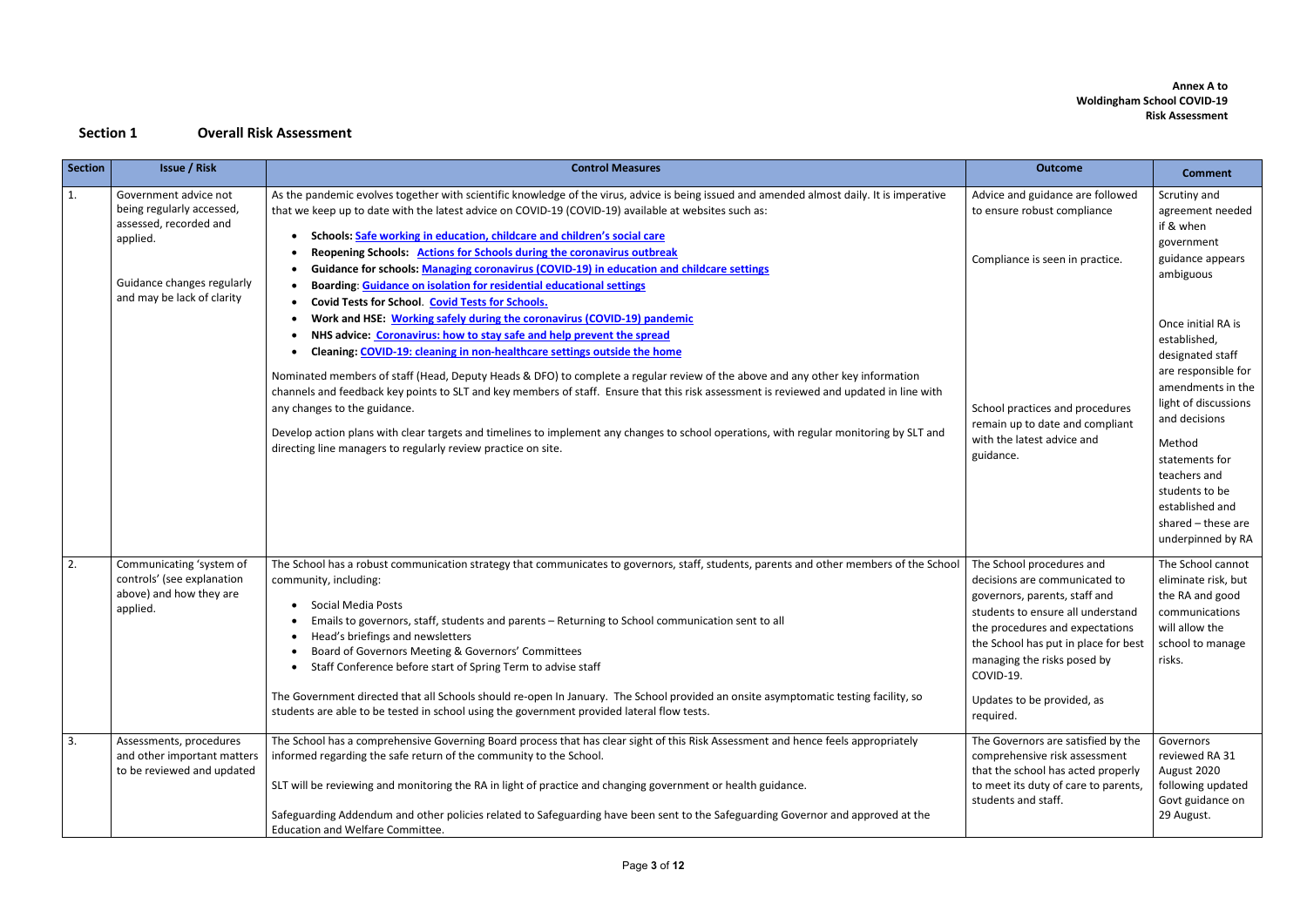### **Annex A to Woldingham School COVID-19 Risk Assessment**

## **Section 1 Overall Risk Assessment**

| <b>Section</b> | <b>Issue / Risk</b>                                                                                                                                  | <b>Control Measures</b>                                                                                                                                                                                                                                                                                                                                                                                                                                                                                                                                                                                                                                                                                                                              | <b>Outcome</b>                                                                                                                                                                                                                                                                                     | <b>Comment</b>                                                                                                                                                                                                                                                          |
|----------------|------------------------------------------------------------------------------------------------------------------------------------------------------|------------------------------------------------------------------------------------------------------------------------------------------------------------------------------------------------------------------------------------------------------------------------------------------------------------------------------------------------------------------------------------------------------------------------------------------------------------------------------------------------------------------------------------------------------------------------------------------------------------------------------------------------------------------------------------------------------------------------------------------------------|----------------------------------------------------------------------------------------------------------------------------------------------------------------------------------------------------------------------------------------------------------------------------------------------------|-------------------------------------------------------------------------------------------------------------------------------------------------------------------------------------------------------------------------------------------------------------------------|
| 1.             | Government advice not<br>being regularly accessed,<br>assessed, recorded and<br>applied.<br>Guidance changes regularly<br>and may be lack of clarity | As the pandemic evolves together with scientific knowledge of the virus, advice is being issued and amended almost daily. It is imperative<br>that we keep up to date with the latest advice on COVID-19 (COVID-19) available at websites such as:<br>Schools: Safe working in education, childcare and children's social care<br>Reopening Schools: Actions for Schools during the coronavirus outbreak<br>Guidance for schools: Managing coronavirus (COVID-19) in education and childcare settings<br>Boarding: Guidance on isolation for residential educational settings<br><b>Covid Tests for School. Covid Tests for Schools.</b>                                                                                                             | Advice and guidance are followed<br>to ensure robust compliance<br>Compliance is seen in practice.                                                                                                                                                                                                 | Scrutiny and<br>agreement needed<br>if & when<br>government<br>guidance appears<br>ambiguous                                                                                                                                                                            |
|                |                                                                                                                                                      | Work and HSE: Working safely during the coronavirus (COVID-19) pandemic<br>NHS advice: Coronavirus: how to stay safe and help prevent the spread<br>Cleaning: COVID-19: cleaning in non-healthcare settings outside the home<br>Nominated members of staff (Head, Deputy Heads & DFO) to complete a regular review of the above and any other key information<br>channels and feedback key points to SLT and key members of staff. Ensure that this risk assessment is reviewed and updated in line with<br>any changes to the guidance.<br>Develop action plans with clear targets and timelines to implement any changes to school operations, with regular monitoring by SLT and<br>directing line managers to regularly review practice on site. | School practices and procedures<br>remain up to date and compliant<br>with the latest advice and<br>guidance.                                                                                                                                                                                      | Once initial RA is<br>established,<br>designated staff<br>are responsible for<br>amendments in the<br>light of discussions<br>and decisions<br>Method<br>statements for<br>teachers and<br>students to be<br>established and<br>shared - these are<br>underpinned by RA |
| 2.             | Communicating 'system of<br>controls' (see explanation<br>above) and how they are<br>applied.                                                        | The School has a robust communication strategy that communicates to governors, staff, students, parents and other members of the School<br>community, including:<br><b>Social Media Posts</b><br>Emails to governors, staff, students and parents - Returning to School communication sent to all<br>Head's briefings and newsletters<br>Board of Governors Meeting & Governors' Committees<br>Staff Conference before start of Spring Term to advise staff<br>The Government directed that all Schools should re-open In January. The School provided an onsite asymptomatic testing facility, so<br>students are able to be tested in school using the government provided lateral flow tests.                                                     | The School procedures and<br>decisions are communicated to<br>governors, parents, staff and<br>students to ensure all understand<br>the procedures and expectations<br>the School has put in place for best<br>managing the risks posed by<br>COVID-19.<br>Updates to be provided, as<br>required. | The School cannot<br>eliminate risk, but<br>the RA and good<br>communications<br>will allow the<br>school to manage<br>risks.                                                                                                                                           |
| 3.             | Assessments, procedures<br>and other important matters<br>to be reviewed and updated                                                                 | The School has a comprehensive Governing Board process that has clear sight of this Risk Assessment and hence feels appropriately<br>informed regarding the safe return of the community to the School.<br>SLT will be reviewing and monitoring the RA in light of practice and changing government or health guidance.<br>Safeguarding Addendum and other policies related to Safeguarding have been sent to the Safeguarding Governor and approved at the<br>Education and Welfare Committee.                                                                                                                                                                                                                                                      | The Governors are satisfied by the<br>comprehensive risk assessment<br>that the school has acted properly<br>to meet its duty of care to parents,<br>students and staff.                                                                                                                           | Governors<br>reviewed RA 31<br>August 2020<br>following updated<br>Govt guidance on<br>29 August.                                                                                                                                                                       |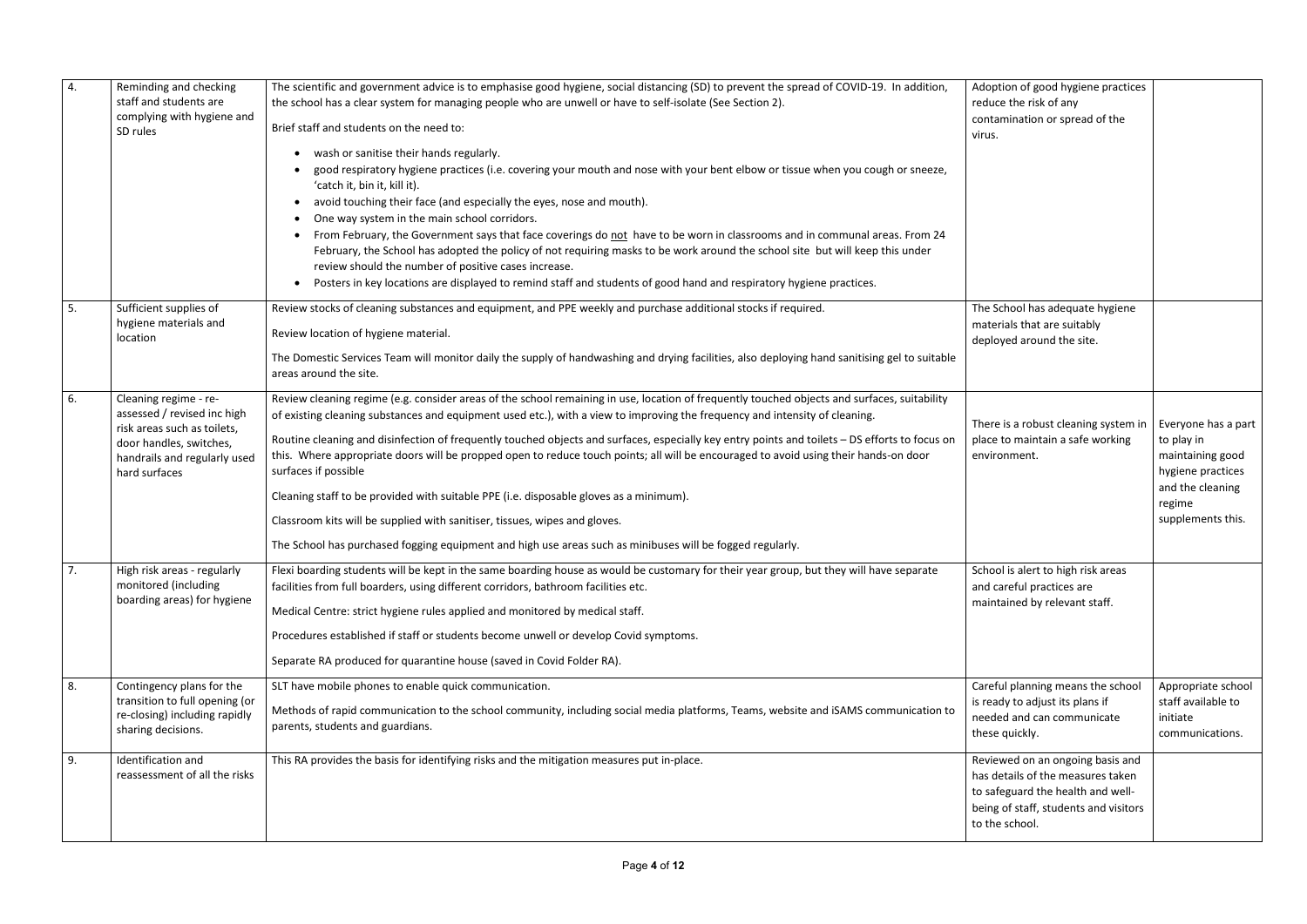| 4.         | Reminding and checking<br>staff and students are<br>complying with hygiene and<br>SD rules                                                                      | The scientific and government advice is to emphasise good hygiene, social distancing (SD) to prevent the spread of COVID-19. In addition,<br>the school has a clear system for managing people who are unwell or have to self-isolate (See Section 2).<br>Brief staff and students on the need to:<br>wash or sanitise their hands regularly.<br>$\bullet$<br>good respiratory hygiene practices (i.e. covering your mouth and nose with your bent elbow or tissue when you cough or sneeze,<br>'catch it, bin it, kill it).<br>avoid touching their face (and especially the eyes, nose and mouth).<br>One way system in the main school corridors.<br>From February, the Government says that face coverings do not have to be worn in classrooms and in communal areas. From 24<br>$\bullet$<br>February, the School has adopted the policy of not requiring masks to be work around the school site but will keep this under<br>review should the number of positive cases increase.<br>Posters in key locations are displayed to remind staff and students of good hand and respiratory hygiene practices.<br>$\bullet$ | Adoption of good hygiene practices<br>reduce the risk of any<br>contamination or spread of the<br>virus.                                                              |                                                                                                                               |
|------------|-----------------------------------------------------------------------------------------------------------------------------------------------------------------|------------------------------------------------------------------------------------------------------------------------------------------------------------------------------------------------------------------------------------------------------------------------------------------------------------------------------------------------------------------------------------------------------------------------------------------------------------------------------------------------------------------------------------------------------------------------------------------------------------------------------------------------------------------------------------------------------------------------------------------------------------------------------------------------------------------------------------------------------------------------------------------------------------------------------------------------------------------------------------------------------------------------------------------------------------------------------------------------------------------------------|-----------------------------------------------------------------------------------------------------------------------------------------------------------------------|-------------------------------------------------------------------------------------------------------------------------------|
| 5.         | Sufficient supplies of<br>hygiene materials and<br>location                                                                                                     | Review stocks of cleaning substances and equipment, and PPE weekly and purchase additional stocks if required.<br>Review location of hygiene material.<br>The Domestic Services Team will monitor daily the supply of handwashing and drying facilities, also deploying hand sanitising gel to suitable<br>areas around the site.                                                                                                                                                                                                                                                                                                                                                                                                                                                                                                                                                                                                                                                                                                                                                                                            | The School has adequate hygiene<br>materials that are suitably<br>deployed around the site.                                                                           |                                                                                                                               |
| 6.         | Cleaning regime - re-<br>assessed / revised inc high<br>risk areas such as toilets,<br>door handles, switches,<br>handrails and regularly used<br>hard surfaces | Review cleaning regime (e.g. consider areas of the school remaining in use, location of frequently touched objects and surfaces, suitability<br>of existing cleaning substances and equipment used etc.), with a view to improving the frequency and intensity of cleaning.<br>Routine cleaning and disinfection of frequently touched objects and surfaces, especially key entry points and toilets - DS efforts to focus on<br>this. Where appropriate doors will be propped open to reduce touch points; all will be encouraged to avoid using their hands-on door<br>surfaces if possible<br>Cleaning staff to be provided with suitable PPE (i.e. disposable gloves as a minimum).<br>Classroom kits will be supplied with sanitiser, tissues, wipes and gloves.<br>The School has purchased fogging equipment and high use areas such as minibuses will be fogged regularly.                                                                                                                                                                                                                                           | There is a robust cleaning system in<br>place to maintain a safe working<br>environment.                                                                              | Everyone has a part<br>to play in<br>maintaining good<br>hygiene practices<br>and the cleaning<br>regime<br>supplements this. |
| $\prime$ . | High risk areas - regularly<br>monitored (including<br>boarding areas) for hygiene                                                                              | Flexi boarding students will be kept in the same boarding house as would be customary for their year group, but they will have separate<br>facilities from full boarders, using different corridors, bathroom facilities etc.<br>Medical Centre: strict hygiene rules applied and monitored by medical staff.<br>Procedures established if staff or students become unwell or develop Covid symptoms.<br>Separate RA produced for quarantine house (saved in Covid Folder RA).                                                                                                                                                                                                                                                                                                                                                                                                                                                                                                                                                                                                                                               | School is alert to high risk areas<br>and careful practices are<br>maintained by relevant staff.                                                                      |                                                                                                                               |
| 8.         | Contingency plans for the<br>transition to full opening (or<br>re-closing) including rapidly<br>sharing decisions.                                              | SLT have mobile phones to enable quick communication.<br>Methods of rapid communication to the school community, including social media platforms, Teams, website and iSAMS communication to<br>parents, students and guardians.                                                                                                                                                                                                                                                                                                                                                                                                                                                                                                                                                                                                                                                                                                                                                                                                                                                                                             | Careful planning means the school<br>is ready to adjust its plans if<br>needed and can communicate<br>these quickly.                                                  | Appropriate school<br>staff available to<br>initiate<br>communications.                                                       |
| 9.         | Identification and<br>reassessment of all the risks                                                                                                             | This RA provides the basis for identifying risks and the mitigation measures put in-place.                                                                                                                                                                                                                                                                                                                                                                                                                                                                                                                                                                                                                                                                                                                                                                                                                                                                                                                                                                                                                                   | Reviewed on an ongoing basis and<br>has details of the measures taken<br>to safeguard the health and well-<br>being of staff, students and visitors<br>to the school. |                                                                                                                               |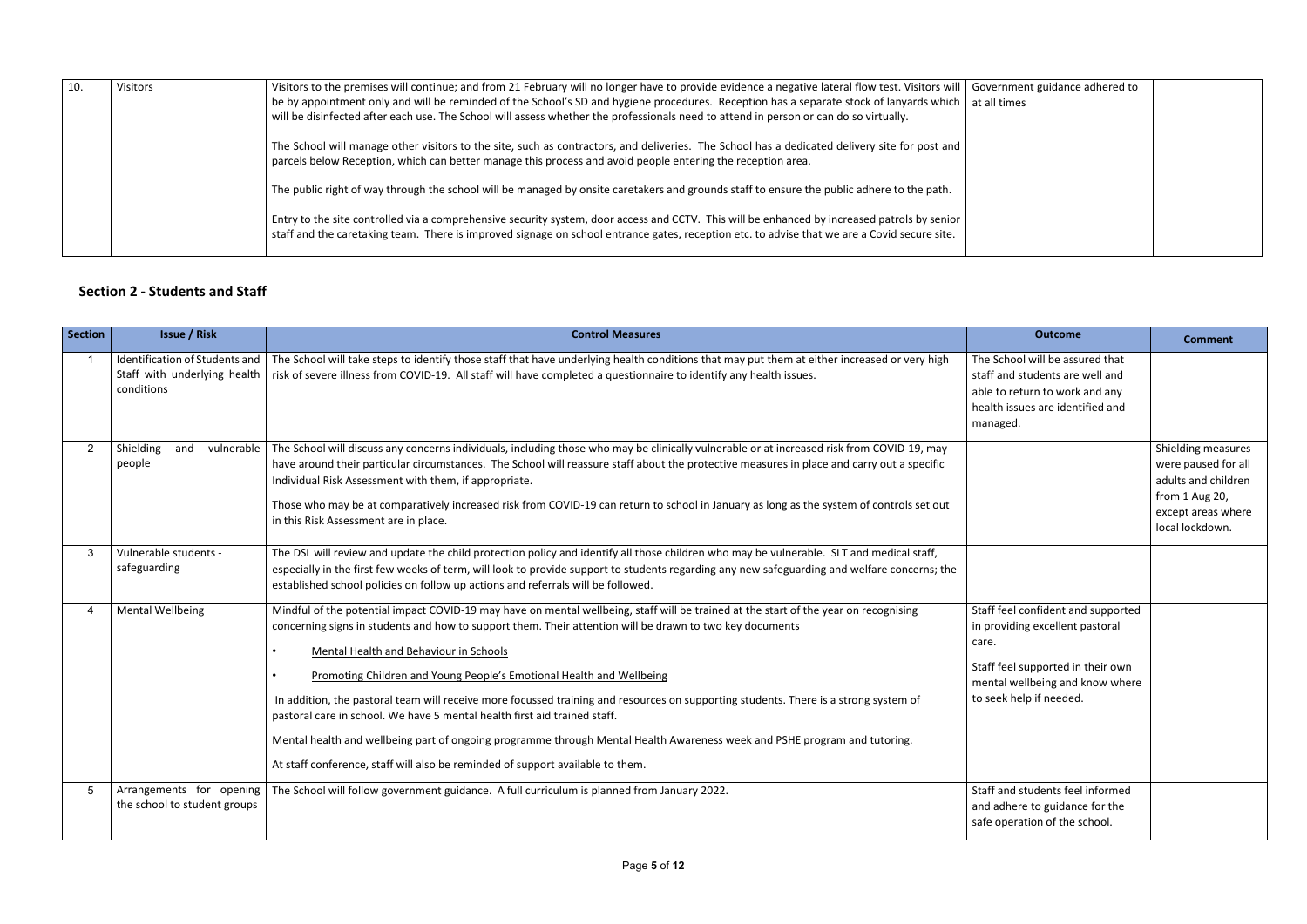| 10. | <b>Visitors</b> | Visitors to the premises will continue; and from 21 February will no longer have to provide evidence a negative lateral flow test. Visitors will<br>Government guidance adhered to<br>be by appointment only and will be reminded of the School's SD and hygiene procedures. Reception has a separate stock of lanyards which  <br>at all times<br>will be disinfected after each use. The School will assess whether the professionals need to attend in person or can do so virtually. |  |
|-----|-----------------|------------------------------------------------------------------------------------------------------------------------------------------------------------------------------------------------------------------------------------------------------------------------------------------------------------------------------------------------------------------------------------------------------------------------------------------------------------------------------------------|--|
|     |                 | The School will manage other visitors to the site, such as contractors, and deliveries. The School has a dedicated delivery site for post and<br>parcels below Reception, which can better manage this process and avoid people entering the reception area.                                                                                                                                                                                                                             |  |
|     |                 | The public right of way through the school will be managed by onsite caretakers and grounds staff to ensure the public adhere to the path.                                                                                                                                                                                                                                                                                                                                               |  |
|     |                 | Entry to the site controlled via a comprehensive security system, door access and CCTV. This will be enhanced by increased patrols by senior<br>staff and the caretaking team. There is improved signage on school entrance gates, reception etc. to advise that we are a Covid secure site.                                                                                                                                                                                             |  |

## **Section 2 - Students and Staff**

| <b>Section</b> | <b>Issue / Risk</b>                                                          | <b>Control Measures</b>                                                                                                                                                                                                                                                                                                                                                                                                                                                                                                                                                                                                                                                                                                                                                                                             | <b>Outcome</b>                                                                                                                                                                    | <b>Comment</b>                                                                                                              |
|----------------|------------------------------------------------------------------------------|---------------------------------------------------------------------------------------------------------------------------------------------------------------------------------------------------------------------------------------------------------------------------------------------------------------------------------------------------------------------------------------------------------------------------------------------------------------------------------------------------------------------------------------------------------------------------------------------------------------------------------------------------------------------------------------------------------------------------------------------------------------------------------------------------------------------|-----------------------------------------------------------------------------------------------------------------------------------------------------------------------------------|-----------------------------------------------------------------------------------------------------------------------------|
|                | Identification of Students and<br>Staff with underlying health<br>conditions | The School will take steps to identify those staff that have underlying health conditions that may put them at either increased or very high<br>risk of severe illness from COVID-19. All staff will have completed a questionnaire to identify any health issues.                                                                                                                                                                                                                                                                                                                                                                                                                                                                                                                                                  | The School will be assured that<br>staff and students are well and<br>able to return to work and any<br>health issues are identified and<br>managed.                              |                                                                                                                             |
|                | Shielding<br>and<br>people                                                   | vulnerable   The School will discuss any concerns individuals, including those who may be clinically vulnerable or at increased risk from COVID-19, may<br>have around their particular circumstances. The School will reassure staff about the protective measures in place and carry out a specific<br>Individual Risk Assessment with them, if appropriate.<br>Those who may be at comparatively increased risk from COVID-19 can return to school in January as long as the system of controls set out<br>in this Risk Assessment are in place.                                                                                                                                                                                                                                                                 |                                                                                                                                                                                   | Shielding measures<br>were paused for all<br>adults and children<br>from 1 Aug 20,<br>except areas where<br>local lockdown. |
|                | Vulnerable students -<br>safeguarding                                        | The DSL will review and update the child protection policy and identify all those children who may be vulnerable. SLT and medical staff,<br>especially in the first few weeks of term, will look to provide support to students regarding any new safeguarding and welfare concerns; the<br>established school policies on follow up actions and referrals will be followed.                                                                                                                                                                                                                                                                                                                                                                                                                                        |                                                                                                                                                                                   |                                                                                                                             |
|                | <b>Mental Wellbeing</b>                                                      | Mindful of the potential impact COVID-19 may have on mental wellbeing, staff will be trained at the start of the year on recognising<br>concerning signs in students and how to support them. Their attention will be drawn to two key documents<br>Mental Health and Behaviour in Schools<br>$\bullet$<br>Promoting Children and Young People's Emotional Health and Wellbeing<br>In addition, the pastoral team will receive more focussed training and resources on supporting students. There is a strong system of<br>pastoral care in school. We have 5 mental health first aid trained staff.<br>Mental health and wellbeing part of ongoing programme through Mental Health Awareness week and PSHE program and tutoring.<br>At staff conference, staff will also be reminded of support available to them. | Staff feel confident and supported<br>in providing excellent pastoral<br>care.<br>Staff feel supported in their own<br>mental wellbeing and know where<br>to seek help if needed. |                                                                                                                             |
| 5              | Arrangements for opening<br>the school to student groups                     | The School will follow government guidance. A full curriculum is planned from January 2022.                                                                                                                                                                                                                                                                                                                                                                                                                                                                                                                                                                                                                                                                                                                         | Staff and students feel informed<br>and adhere to guidance for the<br>safe operation of the school.                                                                               |                                                                                                                             |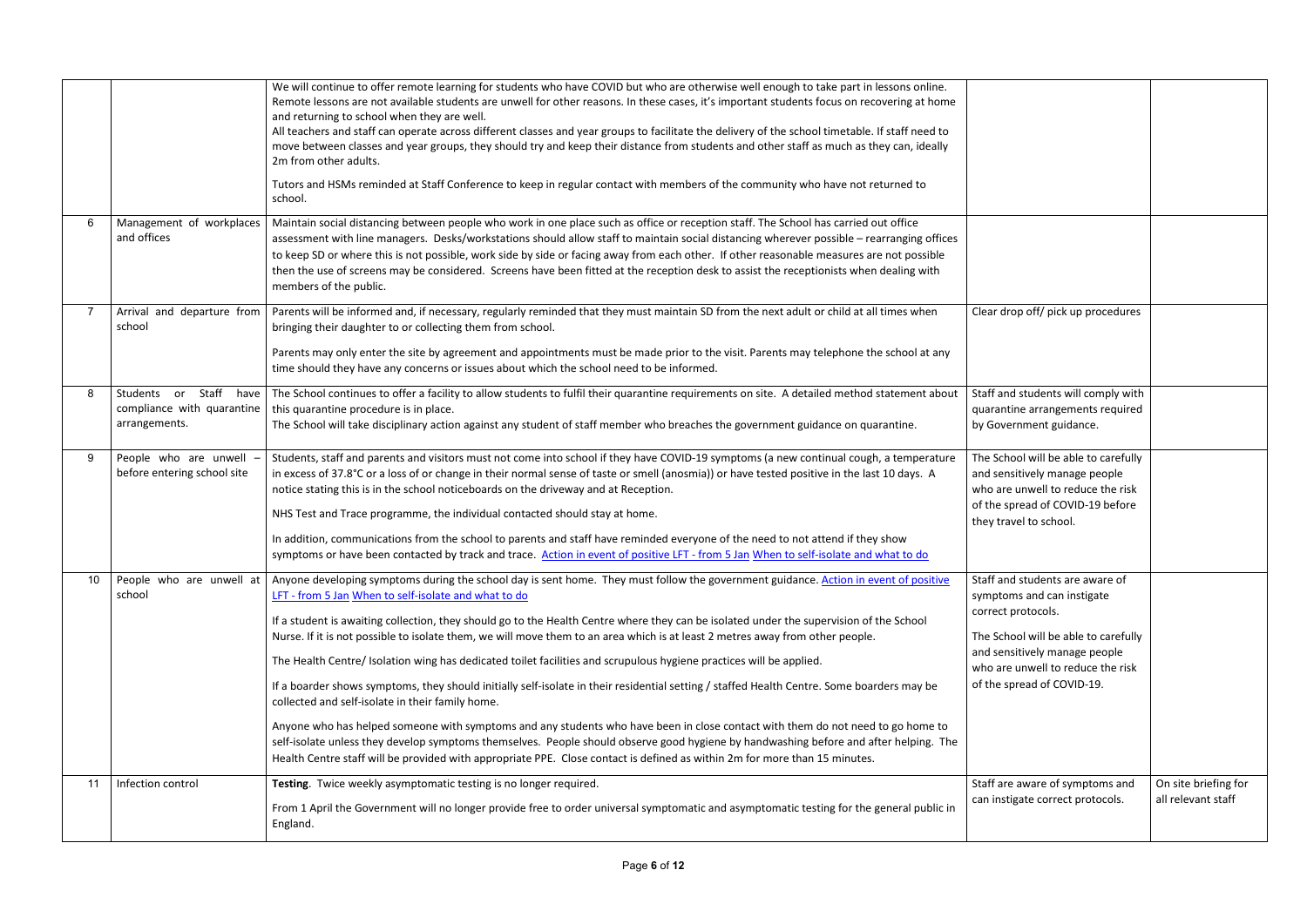|    |                                                                       | We will continue to offer remote learning for students who have COVID but who are otherwise well enough to take part in lessons online.<br>Remote lessons are not available students are unwell for other reasons. In these cases, it's important students focus on recovering at home<br>and returning to school when they are well.<br>All teachers and staff can operate across different classes and year groups to facilitate the delivery of the school timetable. If staff need to<br>move between classes and year groups, they should try and keep their distance from students and other staff as much as they can, ideally<br>2m from other adults.<br>Tutors and HSMs reminded at Staff Conference to keep in regular contact with members of the community who have not returned to                                                                                                                                                                                                                                                                                                                                                                                                            |                                                                                                                                                                                                                                 |                                            |
|----|-----------------------------------------------------------------------|-------------------------------------------------------------------------------------------------------------------------------------------------------------------------------------------------------------------------------------------------------------------------------------------------------------------------------------------------------------------------------------------------------------------------------------------------------------------------------------------------------------------------------------------------------------------------------------------------------------------------------------------------------------------------------------------------------------------------------------------------------------------------------------------------------------------------------------------------------------------------------------------------------------------------------------------------------------------------------------------------------------------------------------------------------------------------------------------------------------------------------------------------------------------------------------------------------------|---------------------------------------------------------------------------------------------------------------------------------------------------------------------------------------------------------------------------------|--------------------------------------------|
|    |                                                                       | school.                                                                                                                                                                                                                                                                                                                                                                                                                                                                                                                                                                                                                                                                                                                                                                                                                                                                                                                                                                                                                                                                                                                                                                                                     |                                                                                                                                                                                                                                 |                                            |
|    | Management of workplaces<br>and offices                               | Maintain social distancing between people who work in one place such as office or reception staff. The School has carried out office<br>assessment with line managers. Desks/workstations should allow staff to maintain social distancing wherever possible - rearranging offices<br>to keep SD or where this is not possible, work side by side or facing away from each other. If other reasonable measures are not possible<br>then the use of screens may be considered. Screens have been fitted at the reception desk to assist the receptionists when dealing with<br>members of the public.                                                                                                                                                                                                                                                                                                                                                                                                                                                                                                                                                                                                        |                                                                                                                                                                                                                                 |                                            |
|    | Arrival and departure from<br>school                                  | Parents will be informed and, if necessary, regularly reminded that they must maintain SD from the next adult or child at all times when<br>bringing their daughter to or collecting them from school.                                                                                                                                                                                                                                                                                                                                                                                                                                                                                                                                                                                                                                                                                                                                                                                                                                                                                                                                                                                                      | Clear drop off/ pick up procedures                                                                                                                                                                                              |                                            |
|    |                                                                       | Parents may only enter the site by agreement and appointments must be made prior to the visit. Parents may telephone the school at any<br>time should they have any concerns or issues about which the school need to be informed.                                                                                                                                                                                                                                                                                                                                                                                                                                                                                                                                                                                                                                                                                                                                                                                                                                                                                                                                                                          |                                                                                                                                                                                                                                 |                                            |
|    | Students or Staff have<br>compliance with quarantine<br>arrangements. | The School continues to offer a facility to allow students to fulfil their quarantine requirements on site. A detailed method statement about<br>this quarantine procedure is in place.<br>The School will take disciplinary action against any student of staff member who breaches the government guidance on quarantine.                                                                                                                                                                                                                                                                                                                                                                                                                                                                                                                                                                                                                                                                                                                                                                                                                                                                                 | Staff and students will comply with<br>quarantine arrangements required<br>by Government guidance.                                                                                                                              |                                            |
|    | People who are unwell<br>before entering school site                  | Students, staff and parents and visitors must not come into school if they have COVID-19 symptoms (a new continual cough, a temperature<br>in excess of 37.8°C or a loss of or change in their normal sense of taste or smell (anosmia)) or have tested positive in the last 10 days. A<br>notice stating this is in the school noticeboards on the driveway and at Reception.<br>NHS Test and Trace programme, the individual contacted should stay at home.<br>In addition, communications from the school to parents and staff have reminded everyone of the need to not attend if they show<br>symptoms or have been contacted by track and trace. Action in event of positive LFT - from 5 Jan When to self-isolate and what to do                                                                                                                                                                                                                                                                                                                                                                                                                                                                     | The School will be able to carefully<br>and sensitively manage people<br>who are unwell to reduce the risk<br>of the spread of COVID-19 before<br>they travel to school.                                                        |                                            |
| 10 | People who are unwell at<br>school                                    | Anyone developing symptoms during the school day is sent home. They must follow the government guidance. Action in event of positive<br>LFT - from 5 Jan When to self-isolate and what to do<br>If a student is awaiting collection, they should go to the Health Centre where they can be isolated under the supervision of the School<br>Nurse. If it is not possible to isolate them, we will move them to an area which is at least 2 metres away from other people.<br>The Health Centre/ Isolation wing has dedicated toilet facilities and scrupulous hygiene practices will be applied.<br>If a boarder shows symptoms, they should initially self-isolate in their residential setting / staffed Health Centre. Some boarders may be<br>collected and self-isolate in their family home.<br>Anyone who has helped someone with symptoms and any students who have been in close contact with them do not need to go home to<br>self-isolate unless they develop symptoms themselves. People should observe good hygiene by handwashing before and after helping. The<br>Health Centre staff will be provided with appropriate PPE. Close contact is defined as within 2m for more than 15 minutes. | Staff and students are aware of<br>symptoms and can instigate<br>correct protocols.<br>The School will be able to carefully<br>and sensitively manage people<br>who are unwell to reduce the risk<br>of the spread of COVID-19. |                                            |
| 11 | Infection control                                                     | Testing. Twice weekly asymptomatic testing is no longer required.<br>From 1 April the Government will no longer provide free to order universal symptomatic and asymptomatic testing for the general public in<br>England.                                                                                                                                                                                                                                                                                                                                                                                                                                                                                                                                                                                                                                                                                                                                                                                                                                                                                                                                                                                  | Staff are aware of symptoms and<br>can instigate correct protocols.                                                                                                                                                             | On site briefing for<br>all relevant staff |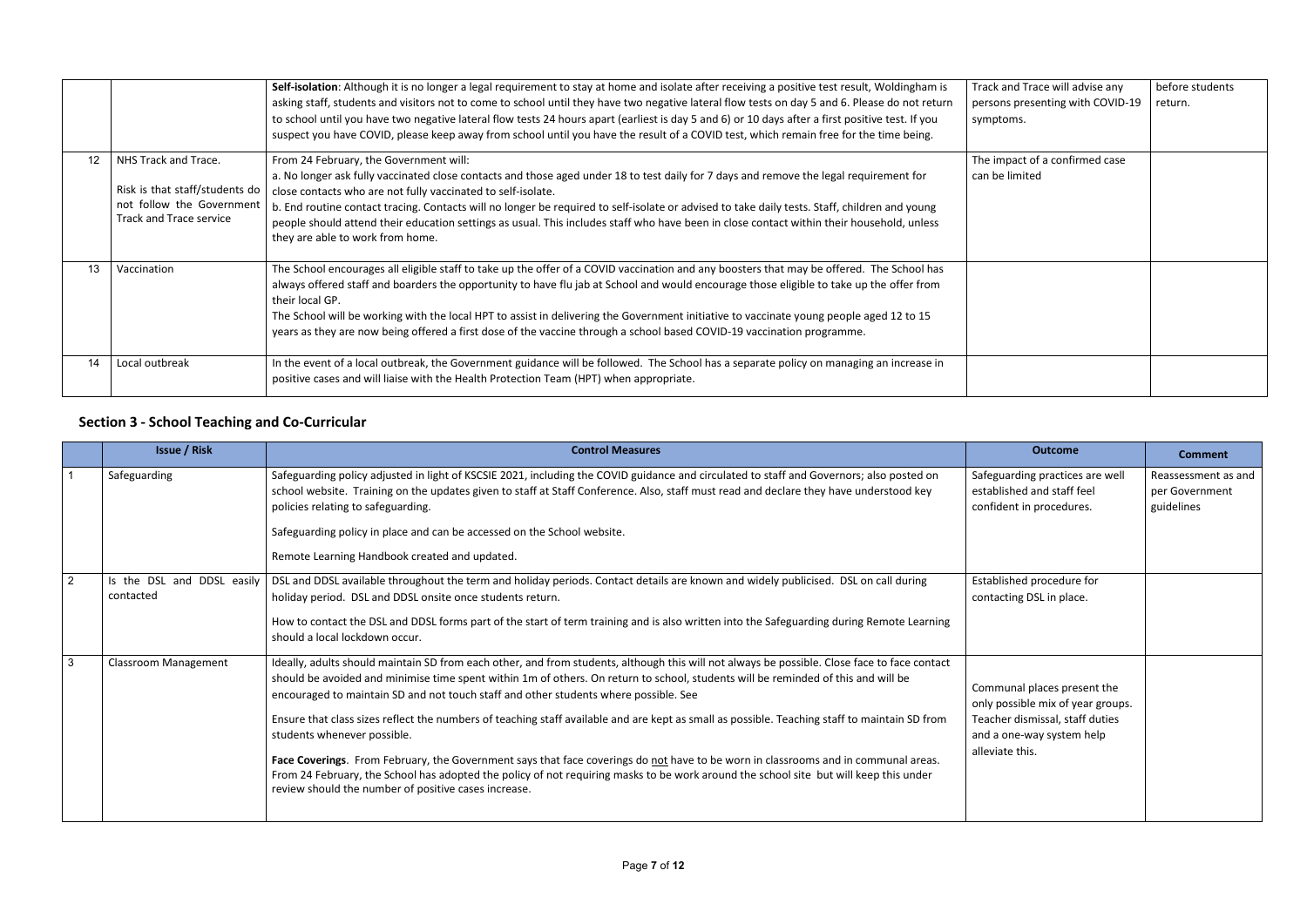|    |                                                                                                                | Self-isolation: Although it is no longer a legal requirement to stay at home and isolate after receiving a positive test result, Woldingham is<br>asking staff, students and visitors not to come to school until they have two negative lateral flow tests on day 5 and 6. Please do not return<br>to school until you have two negative lateral flow tests 24 hours apart (earliest is day 5 and 6) or 10 days after a first positive test. If you<br>suspect you have COVID, please keep away from school until you have the result of a COVID test, which remain free for the time being. | Track and Trace will advise any<br>persons presenting with COVID-19<br>symptoms. | before students<br>return. |
|----|----------------------------------------------------------------------------------------------------------------|-----------------------------------------------------------------------------------------------------------------------------------------------------------------------------------------------------------------------------------------------------------------------------------------------------------------------------------------------------------------------------------------------------------------------------------------------------------------------------------------------------------------------------------------------------------------------------------------------|----------------------------------------------------------------------------------|----------------------------|
| 12 | NHS Track and Trace.<br>Risk is that staff/students do<br>not follow the Government<br>Track and Trace service | From 24 February, the Government will:<br>a. No longer ask fully vaccinated close contacts and those aged under 18 to test daily for 7 days and remove the legal requirement for<br>close contacts who are not fully vaccinated to self-isolate.<br>b. End routine contact tracing. Contacts will no longer be required to self-isolate or advised to take daily tests. Staff, children and young<br>people should attend their education settings as usual. This includes staff who have been in close contact within their household, unless<br>they are able to work from home.            | The impact of a confirmed case<br>can be limited                                 |                            |
| 13 | Vaccination                                                                                                    | The School encourages all eligible staff to take up the offer of a COVID vaccination and any boosters that may be offered. The School has<br>always offered staff and boarders the opportunity to have flu jab at School and would encourage those eligible to take up the offer from<br>their local GP.<br>The School will be working with the local HPT to assist in delivering the Government initiative to vaccinate young people aged 12 to 15<br>years as they are now being offered a first dose of the vaccine through a school based COVID-19 vaccination programme.                 |                                                                                  |                            |
| 14 | Local outbreak                                                                                                 | In the event of a local outbreak, the Government guidance will be followed. The School has a separate policy on managing an increase in<br>positive cases and will liaise with the Health Protection Team (HPT) when appropriate.                                                                                                                                                                                                                                                                                                                                                             |                                                                                  |                            |

# **Section 3 - School Teaching and Co-Curricular**

|                | <b>Issue / Risk</b>                     | <b>Control Measures</b>                                                                                                                                                                                                                                                                                                                                                                                                                                                                                                                                                                                                                                                                                                                                                                                                                                                                          | <b>Outcome</b>                                                                                                                                      | <b>Comment</b>                                      |
|----------------|-----------------------------------------|--------------------------------------------------------------------------------------------------------------------------------------------------------------------------------------------------------------------------------------------------------------------------------------------------------------------------------------------------------------------------------------------------------------------------------------------------------------------------------------------------------------------------------------------------------------------------------------------------------------------------------------------------------------------------------------------------------------------------------------------------------------------------------------------------------------------------------------------------------------------------------------------------|-----------------------------------------------------------------------------------------------------------------------------------------------------|-----------------------------------------------------|
|                | Safeguarding                            | Safeguarding policy adjusted in light of KSCSIE 2021, including the COVID guidance and circulated to staff and Governors; also posted on<br>school website. Training on the updates given to staff at Staff Conference. Also, staff must read and declare they have understood key<br>policies relating to safeguarding.<br>Safeguarding policy in place and can be accessed on the School website.<br>Remote Learning Handbook created and updated.                                                                                                                                                                                                                                                                                                                                                                                                                                             | Safeguarding practices are well<br>established and staff feel<br>confident in procedures.                                                           | Reassessment as and<br>per Government<br>guidelines |
| $\overline{2}$ | Is the DSL and DDSL easily<br>contacted | DSL and DDSL available throughout the term and holiday periods. Contact details are known and widely publicised. DSL on call during<br>holiday period. DSL and DDSL onsite once students return.<br>How to contact the DSL and DDSL forms part of the start of term training and is also written into the Safeguarding during Remote Learning<br>should a local lockdown occur.                                                                                                                                                                                                                                                                                                                                                                                                                                                                                                                  | Established procedure for<br>contacting DSL in place.                                                                                               |                                                     |
| 3              | <b>Classroom Management</b>             | Ideally, adults should maintain SD from each other, and from students, although this will not always be possible. Close face to face contact<br>should be avoided and minimise time spent within 1m of others. On return to school, students will be reminded of this and will be<br>encouraged to maintain SD and not touch staff and other students where possible. See<br>Ensure that class sizes reflect the numbers of teaching staff available and are kept as small as possible. Teaching staff to maintain SD from<br>students whenever possible.<br>Face Coverings. From February, the Government says that face coverings do not have to be worn in classrooms and in communal areas.<br>From 24 February, the School has adopted the policy of not requiring masks to be work around the school site but will keep this under<br>review should the number of positive cases increase. | Communal places present the<br>only possible mix of year groups.<br>Teacher dismissal, staff duties<br>and a one-way system help<br>alleviate this. |                                                     |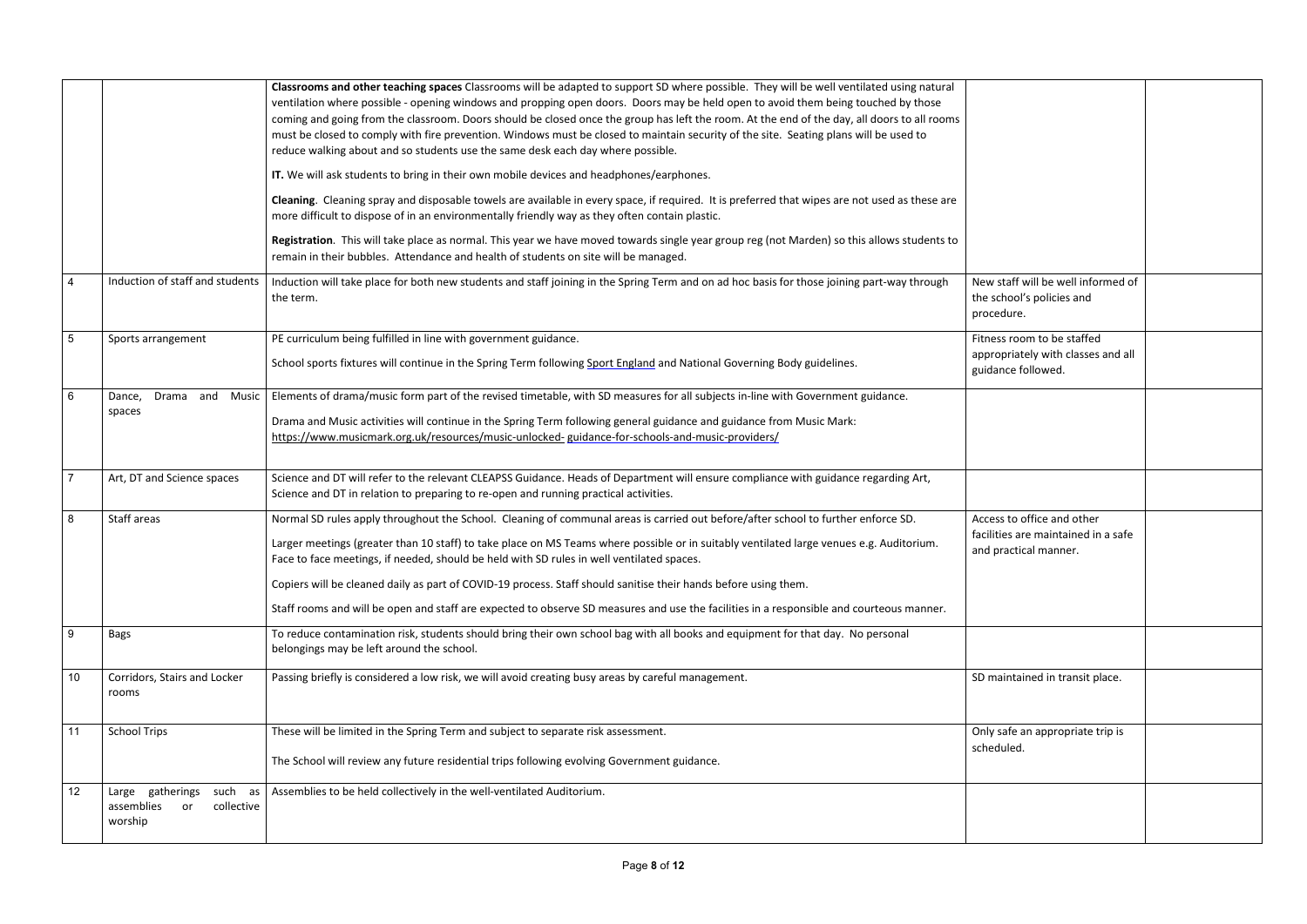|                 |                                                                             | Classrooms and other teaching spaces Classrooms will be adapted to support SD where possible. They will be well ventilated using natural<br>ventilation where possible - opening windows and propping open doors. Doors may be held open to avoid them being touched by those<br>coming and going from the classroom. Doors should be closed once the group has left the room. At the end of the day, all doors to all rooms<br>must be closed to comply with fire prevention. Windows must be closed to maintain security of the site. Seating plans will be used to<br>reduce walking about and so students use the same desk each day where possible.<br>IT. We will ask students to bring in their own mobile devices and headphones/earphones.<br>Cleaning. Cleaning spray and disposable towels are available in every space, if required. It is preferred that wipes are not used as these are<br>more difficult to dispose of in an environmentally friendly way as they often contain plastic.<br>Registration. This will take place as normal. This year we have moved towards single year group reg (not Marden) so this allows students to<br>remain in their bubbles. Attendance and health of students on site will be managed. |                                                                                            |  |
|-----------------|-----------------------------------------------------------------------------|-----------------------------------------------------------------------------------------------------------------------------------------------------------------------------------------------------------------------------------------------------------------------------------------------------------------------------------------------------------------------------------------------------------------------------------------------------------------------------------------------------------------------------------------------------------------------------------------------------------------------------------------------------------------------------------------------------------------------------------------------------------------------------------------------------------------------------------------------------------------------------------------------------------------------------------------------------------------------------------------------------------------------------------------------------------------------------------------------------------------------------------------------------------------------------------------------------------------------------------------------|--------------------------------------------------------------------------------------------|--|
| $\overline{4}$  | Induction of staff and students                                             | Induction will take place for both new students and staff joining in the Spring Term and on ad hoc basis for those joining part-way through<br>the term.                                                                                                                                                                                                                                                                                                                                                                                                                                                                                                                                                                                                                                                                                                                                                                                                                                                                                                                                                                                                                                                                                      | New staff will be well informed of<br>the school's policies and<br>procedure.              |  |
| $5\phantom{.0}$ | Sports arrangement                                                          | PE curriculum being fulfilled in line with government guidance.<br>School sports fixtures will continue in the Spring Term following Sport England and National Governing Body guidelines.                                                                                                                                                                                                                                                                                                                                                                                                                                                                                                                                                                                                                                                                                                                                                                                                                                                                                                                                                                                                                                                    | Fitness room to be staffed<br>appropriately with classes and all<br>guidance followed.     |  |
| $6\phantom{.}6$ | Drama and Music<br>Dance,<br>spaces                                         | Elements of drama/music form part of the revised timetable, with SD measures for all subjects in-line with Government guidance.<br>Drama and Music activities will continue in the Spring Term following general guidance and guidance from Music Mark:<br>https://www.musicmark.org.uk/resources/music-unlocked- guidance-for-schools-and-music-providers/                                                                                                                                                                                                                                                                                                                                                                                                                                                                                                                                                                                                                                                                                                                                                                                                                                                                                   |                                                                                            |  |
| $\overline{7}$  | Art, DT and Science spaces                                                  | Science and DT will refer to the relevant CLEAPSS Guidance. Heads of Department will ensure compliance with guidance regarding Art,<br>Science and DT in relation to preparing to re-open and running practical activities.                                                                                                                                                                                                                                                                                                                                                                                                                                                                                                                                                                                                                                                                                                                                                                                                                                                                                                                                                                                                                   |                                                                                            |  |
| 8               | Staff areas                                                                 | Normal SD rules apply throughout the School. Cleaning of communal areas is carried out before/after school to further enforce SD.<br>Larger meetings (greater than 10 staff) to take place on MS Teams where possible or in suitably ventilated large venues e.g. Auditorium.<br>Face to face meetings, if needed, should be held with SD rules in well ventilated spaces.<br>Copiers will be cleaned daily as part of COVID-19 process. Staff should sanitise their hands before using them.<br>Staff rooms and will be open and staff are expected to observe SD measures and use the facilities in a responsible and courteous manner.                                                                                                                                                                                                                                                                                                                                                                                                                                                                                                                                                                                                     | Access to office and other<br>facilities are maintained in a safe<br>and practical manner. |  |
| 9               | Bags                                                                        | To reduce contamination risk, students should bring their own school bag with all books and equipment for that day. No personal<br>belongings may be left around the school.                                                                                                                                                                                                                                                                                                                                                                                                                                                                                                                                                                                                                                                                                                                                                                                                                                                                                                                                                                                                                                                                  |                                                                                            |  |
| 10              | Corridors, Stairs and Locker<br>rooms                                       | Passing briefly is considered a low risk, we will avoid creating busy areas by careful management.                                                                                                                                                                                                                                                                                                                                                                                                                                                                                                                                                                                                                                                                                                                                                                                                                                                                                                                                                                                                                                                                                                                                            | SD maintained in transit place.                                                            |  |
| 11              | <b>School Trips</b>                                                         | These will be limited in the Spring Term and subject to separate risk assessment.<br>The School will review any future residential trips following evolving Government guidance.                                                                                                                                                                                                                                                                                                                                                                                                                                                                                                                                                                                                                                                                                                                                                                                                                                                                                                                                                                                                                                                              | Only safe an appropriate trip is<br>scheduled.                                             |  |
| 12              | such as<br>gatherings<br>Large<br>collective<br>assemblies<br>or<br>worship | Assemblies to be held collectively in the well-ventilated Auditorium.                                                                                                                                                                                                                                                                                                                                                                                                                                                                                                                                                                                                                                                                                                                                                                                                                                                                                                                                                                                                                                                                                                                                                                         |                                                                                            |  |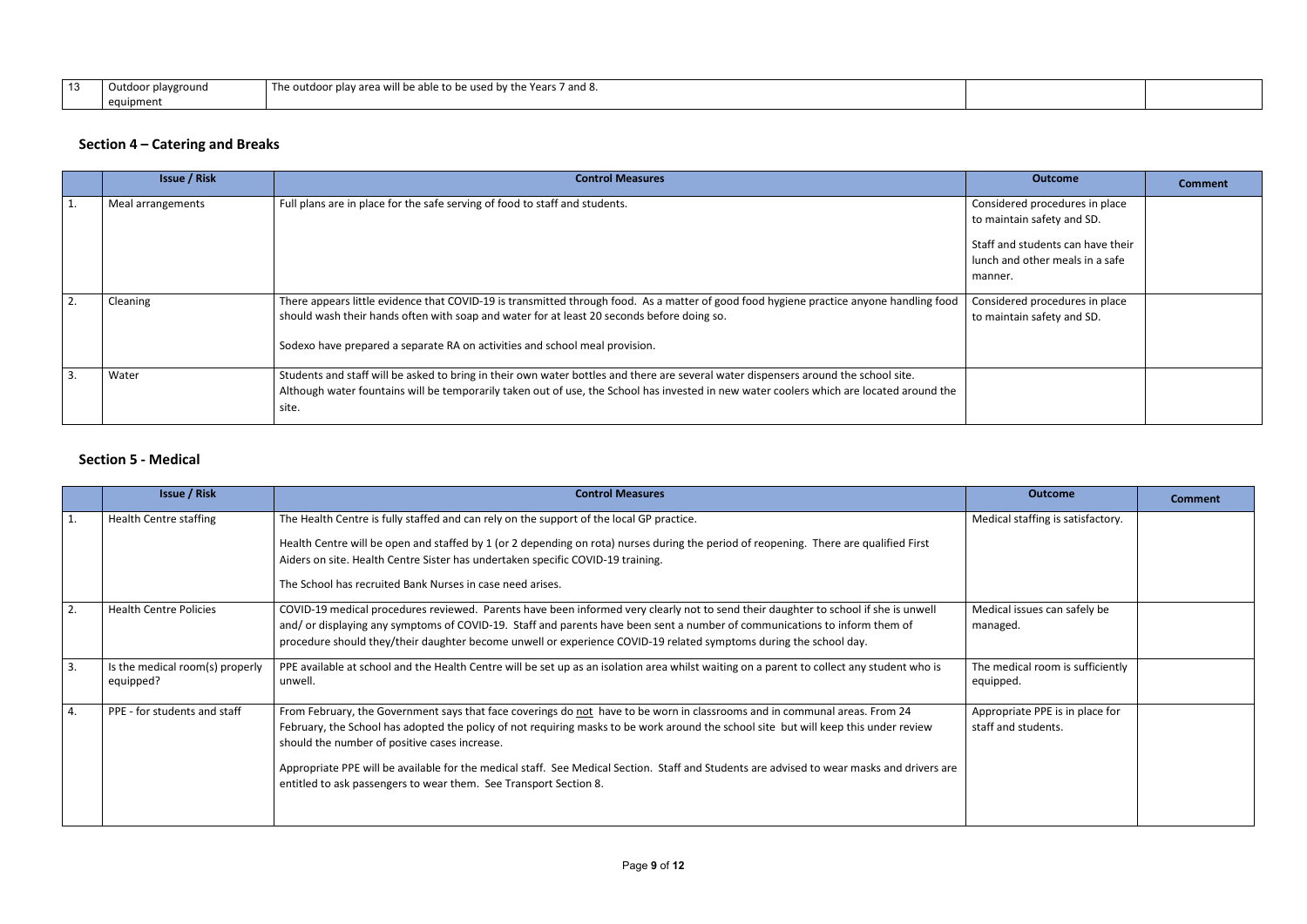| $\sqrt{2}$ | Outdoor playground | .<br>The outdoor<br>ా Years 7 and 8.<br>ir plav area will be able to be used.<br>d by the |  |
|------------|--------------------|-------------------------------------------------------------------------------------------|--|
|            | equipment          |                                                                                           |  |

# **Section 4 – Catering and Breaks**

| <b>Issue / Risk</b> | <b>Control Measures</b>                                                                                                                                                                                                                                                                                              | <b>Outcome</b>                                                                                                                                  | <b>Comment</b> |
|---------------------|----------------------------------------------------------------------------------------------------------------------------------------------------------------------------------------------------------------------------------------------------------------------------------------------------------------------|-------------------------------------------------------------------------------------------------------------------------------------------------|----------------|
| Meal arrangements   | Full plans are in place for the safe serving of food to staff and students.                                                                                                                                                                                                                                          | Considered procedures in place<br>to maintain safety and SD.<br>Staff and students can have their<br>lunch and other meals in a safe<br>manner. |                |
| Cleaning            | There appears little evidence that COVID-19 is transmitted through food. As a matter of good food hygiene practice anyone handling food<br>should wash their hands often with soap and water for at least 20 seconds before doing so.<br>Sodexo have prepared a separate RA on activities and school meal provision. | Considered procedures in place<br>to maintain safety and SD.                                                                                    |                |
| Water               | Students and staff will be asked to bring in their own water bottles and there are several water dispensers around the school site.<br>Although water fountains will be temporarily taken out of use, the School has invested in new water coolers which are located around the<br>site.                             |                                                                                                                                                 |                |

### **Section 5 - Medical**

|                | <b>Issue / Risk</b>                          | <b>Control Measures</b>                                                                                                                                                                                                                                                                                                                                                                                                                                                                                                                | <b>Outcome</b>                                         | <b>Comment</b> |
|----------------|----------------------------------------------|----------------------------------------------------------------------------------------------------------------------------------------------------------------------------------------------------------------------------------------------------------------------------------------------------------------------------------------------------------------------------------------------------------------------------------------------------------------------------------------------------------------------------------------|--------------------------------------------------------|----------------|
| $\mathbf{1}$ . | <b>Health Centre staffing</b>                | The Health Centre is fully staffed and can rely on the support of the local GP practice.<br>Health Centre will be open and staffed by 1 (or 2 depending on rota) nurses during the period of reopening. There are qualified First<br>Aiders on site. Health Centre Sister has undertaken specific COVID-19 training.<br>The School has recruited Bank Nurses in case need arises.                                                                                                                                                      | Medical staffing is satisfactory.                      |                |
| 2.             | <b>Health Centre Policies</b>                | COVID-19 medical procedures reviewed. Parents have been informed very clearly not to send their daughter to school if she is unwell<br>and/ or displaying any symptoms of COVID-19. Staff and parents have been sent a number of communications to inform them of<br>procedure should they/their daughter become unwell or experience COVID-19 related symptoms during the school day.                                                                                                                                                 | Medical issues can safely be<br>managed.               |                |
| 3.             | Is the medical room(s) properly<br>equipped? | PPE available at school and the Health Centre will be set up as an isolation area whilst waiting on a parent to collect any student who is<br>unwell.                                                                                                                                                                                                                                                                                                                                                                                  | The medical room is sufficiently<br>equipped.          |                |
| 4.             | PPE - for students and staff                 | From February, the Government says that face coverings do not have to be worn in classrooms and in communal areas. From 24<br>February, the School has adopted the policy of not requiring masks to be work around the school site but will keep this under review<br>should the number of positive cases increase.<br>Appropriate PPE will be available for the medical staff. See Medical Section. Staff and Students are advised to wear masks and drivers are<br>entitled to ask passengers to wear them. See Transport Section 8. | Appropriate PPE is in place for<br>staff and students. |                |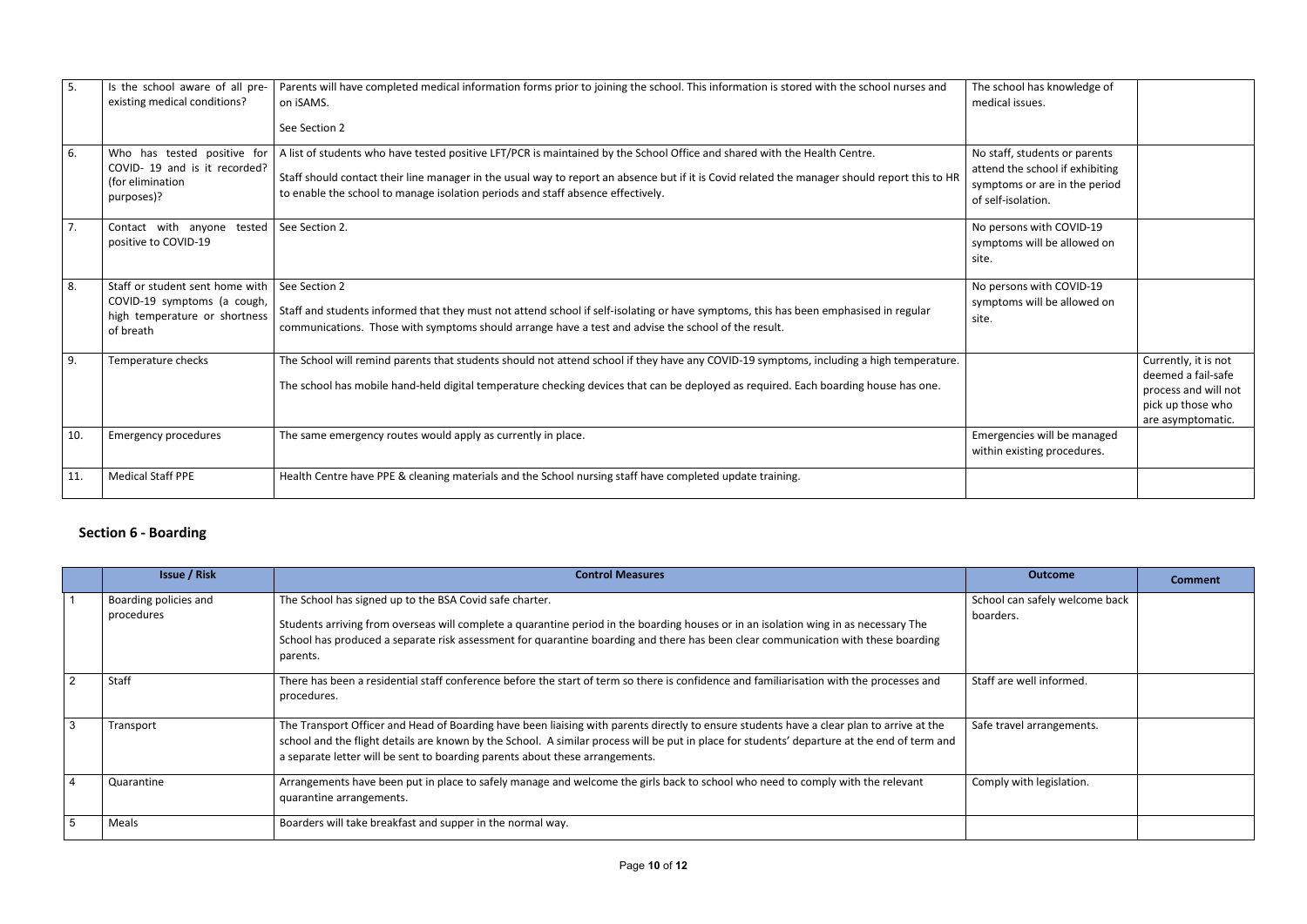| The school has knowledge of     |                      |
|---------------------------------|----------------------|
| medical issues.                 |                      |
|                                 |                      |
|                                 |                      |
| No staff, students or parents   |                      |
| attend the school if exhibiting |                      |
| symptoms or are in the period   |                      |
| of self-isolation.              |                      |
|                                 |                      |
| No persons with COVID-19        |                      |
| symptoms will be allowed on     |                      |
| site.                           |                      |
|                                 |                      |
| No persons with COVID-19        |                      |
| symptoms will be allowed on     |                      |
| site.                           |                      |
|                                 |                      |
|                                 | Currently, it is not |
|                                 | deemed a fail-safe   |
|                                 | process and will not |
|                                 | pick up those who    |
|                                 | are asymptomatic.    |
| Emergencies will be managed     |                      |
| within existing procedures.     |                      |
|                                 |                      |
|                                 |                      |
|                                 |                      |

| 5.         | Is the school aware of all pre-<br>existing medical conditions?                                              | Parents will have completed medical information forms prior to joining the school. This information is stored with the school nurses and<br>on iSAMS.<br>See Section 2                                                                                                                                                                                        | The school has knowledge of<br>medical issues.                                                                          |
|------------|--------------------------------------------------------------------------------------------------------------|---------------------------------------------------------------------------------------------------------------------------------------------------------------------------------------------------------------------------------------------------------------------------------------------------------------------------------------------------------------|-------------------------------------------------------------------------------------------------------------------------|
| 6.         | Who has tested positive for<br>COVID- 19 and is it recorded?<br>(for elimination<br>purposes)?               | A list of students who have tested positive LFT/PCR is maintained by the School Office and shared with the Health Centre.<br>Staff should contact their line manager in the usual way to report an absence but if it is Covid related the manager should report this to HR<br>to enable the school to manage isolation periods and staff absence effectively. | No staff, students or parents<br>attend the school if exhibiting<br>symptoms or are in the period<br>of self-isolation. |
| $\vert$ 7. | Contact with anyone tested   See Section 2.<br>positive to COVID-19                                          |                                                                                                                                                                                                                                                                                                                                                               | No persons with COVID-19<br>symptoms will be allowed on<br>site.                                                        |
| 8.         | Staff or student sent home with<br>COVID-19 symptoms (a cough,<br>high temperature or shortness<br>of breath | See Section 2<br>Staff and students informed that they must not attend school if self-isolating or have symptoms, this has been emphasised in regular<br>communications. Those with symptoms should arrange have a test and advise the school of the result.                                                                                                  | No persons with COVID-19<br>symptoms will be allowed on<br>site.                                                        |
| 9.         | Temperature checks                                                                                           | The School will remind parents that students should not attend school if they have any COVID-19 symptoms, including a high temperature.<br>The school has mobile hand-held digital temperature checking devices that can be deployed as required. Each boarding house has one.                                                                                |                                                                                                                         |
| 10.        | <b>Emergency procedures</b>                                                                                  | The same emergency routes would apply as currently in place.                                                                                                                                                                                                                                                                                                  | Emergencies will be managed<br>within existing procedures.                                                              |
| 11.        | <b>Medical Staff PPE</b>                                                                                     | Health Centre have PPE & cleaning materials and the School nursing staff have completed update training.                                                                                                                                                                                                                                                      |                                                                                                                         |
|            |                                                                                                              |                                                                                                                                                                                                                                                                                                                                                               |                                                                                                                         |

## **Section 6 - Boarding**

|                | <b>Issue / Risk</b>                 | <b>Control Measures</b>                                                                                                                                                                                                                                                                                                                                                   | <b>Outcome</b>                              | <b>Comment</b> |
|----------------|-------------------------------------|---------------------------------------------------------------------------------------------------------------------------------------------------------------------------------------------------------------------------------------------------------------------------------------------------------------------------------------------------------------------------|---------------------------------------------|----------------|
|                | Boarding policies and<br>procedures | The School has signed up to the BSA Covid safe charter.<br>Students arriving from overseas will complete a quarantine period in the boarding houses or in an isolation wing in as necessary The<br>School has produced a separate risk assessment for quarantine boarding and there has been clear communication with these boarding<br>parents.                          | School can safely welcome back<br>boarders. |                |
| $\overline{2}$ | Staff                               | There has been a residential staff conference before the start of term so there is confidence and familiarisation with the processes and<br>procedures.                                                                                                                                                                                                                   | Staff are well informed.                    |                |
| $\mathbf{3}$   | Transport                           | The Transport Officer and Head of Boarding have been liaising with parents directly to ensure students have a clear plan to arrive at the<br>school and the flight details are known by the School. A similar process will be put in place for students' departure at the end of term and<br>a separate letter will be sent to boarding parents about these arrangements. | Safe travel arrangements.                   |                |
| $\overline{4}$ | Quarantine                          | Arrangements have been put in place to safely manage and welcome the girls back to school who need to comply with the relevant<br>quarantine arrangements.                                                                                                                                                                                                                | Comply with legislation.                    |                |
| 5              | Meals                               | Boarders will take breakfast and supper in the normal way.                                                                                                                                                                                                                                                                                                                |                                             |                |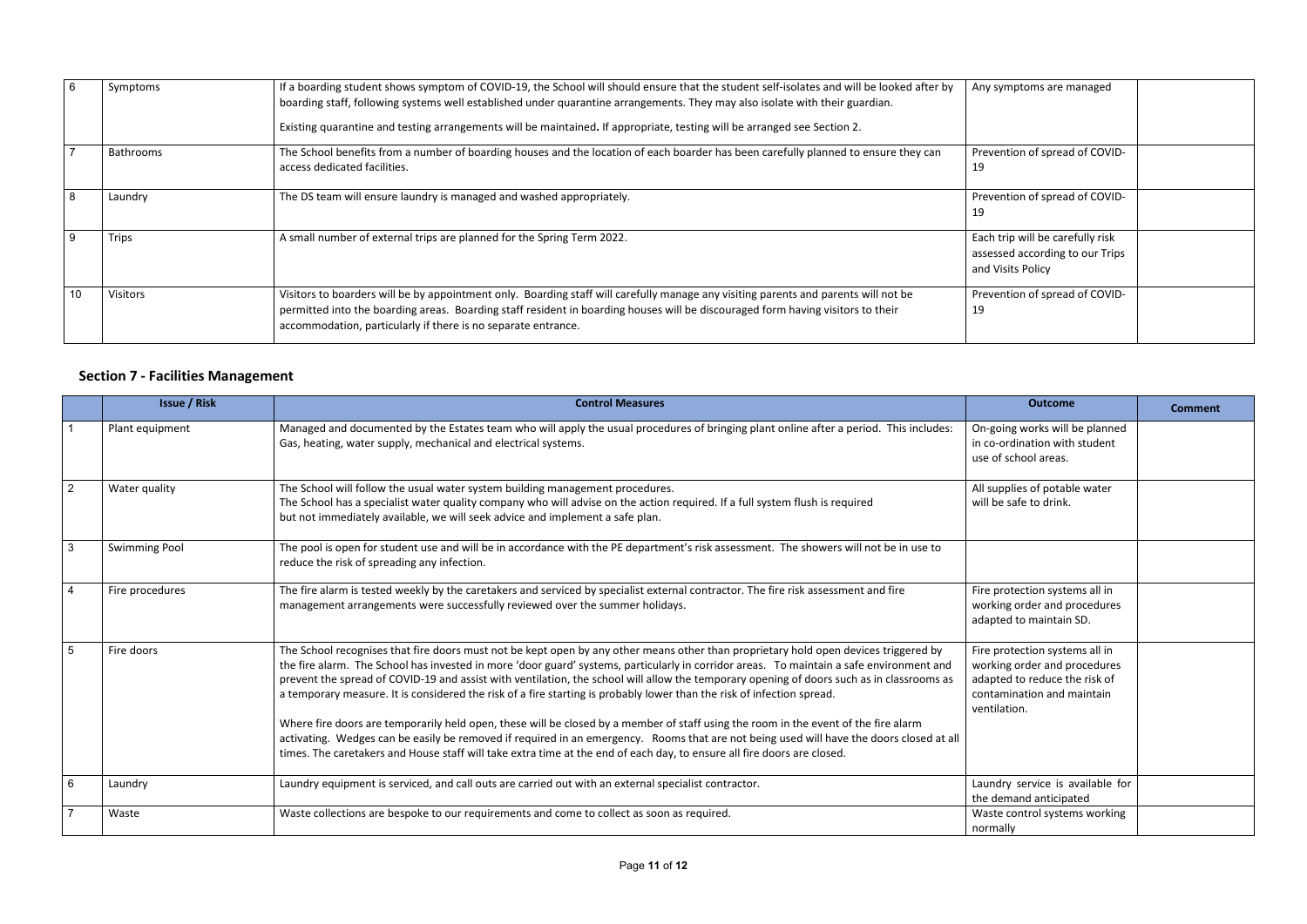| $6\overline{6}$ | Symptoms         | If a boarding student shows symptom of COVID-19, the School will should ensure that the student self-isolates and will be looked after by<br>boarding staff, following systems well established under quarantine arrangements. They may also isolate with their guardian.<br>Existing quarantine and testing arrangements will be maintained. If appropriate, testing will be arranged see Section 2. | Any symptoms are managed                                                                 |
|-----------------|------------------|-------------------------------------------------------------------------------------------------------------------------------------------------------------------------------------------------------------------------------------------------------------------------------------------------------------------------------------------------------------------------------------------------------|------------------------------------------------------------------------------------------|
| $\overline{ }$  | <b>Bathrooms</b> | The School benefits from a number of boarding houses and the location of each boarder has been carefully planned to ensure they can<br>access dedicated facilities.                                                                                                                                                                                                                                   | Prevention of spread of COVID-<br>19                                                     |
| 8               | Laundry          | The DS team will ensure laundry is managed and washed appropriately.                                                                                                                                                                                                                                                                                                                                  | Prevention of spread of COVID-<br>19                                                     |
| 9               | Trips            | A small number of external trips are planned for the Spring Term 2022.                                                                                                                                                                                                                                                                                                                                | Each trip will be carefully risk<br>assessed according to our Trips<br>and Visits Policy |
| 10              | Visitors         | Visitors to boarders will be by appointment only. Boarding staff will carefully manage any visiting parents and parents will not be<br>permitted into the boarding areas. Boarding staff resident in boarding houses will be discouraged form having visitors to their<br>accommodation, particularly if there is no separate entrance.                                                               | Prevention of spread of COVID-<br>19                                                     |

## **Section 7 - Facilities Management**

|                 | <b>Issue / Risk</b>  | <b>Control Measures</b>                                                                                                                                                                                                                                                                                                                                                                                                                                                                                                                                                                                                                                                                                                                                                                                                                                                                                                                                               | <b>Outcome</b>                                                                                                                                | <b>Comment</b> |
|-----------------|----------------------|-----------------------------------------------------------------------------------------------------------------------------------------------------------------------------------------------------------------------------------------------------------------------------------------------------------------------------------------------------------------------------------------------------------------------------------------------------------------------------------------------------------------------------------------------------------------------------------------------------------------------------------------------------------------------------------------------------------------------------------------------------------------------------------------------------------------------------------------------------------------------------------------------------------------------------------------------------------------------|-----------------------------------------------------------------------------------------------------------------------------------------------|----------------|
|                 | Plant equipment      | Managed and documented by the Estates team who will apply the usual procedures of bringing plant online after a period. This includes:<br>Gas, heating, water supply, mechanical and electrical systems.                                                                                                                                                                                                                                                                                                                                                                                                                                                                                                                                                                                                                                                                                                                                                              | On-going works will be planned<br>in co-ordination with student<br>use of school areas.                                                       |                |
| $\overline{2}$  | Water quality        | The School will follow the usual water system building management procedures.<br>The School has a specialist water quality company who will advise on the action required. If a full system flush is required<br>but not immediately available, we will seek advice and implement a safe plan.                                                                                                                                                                                                                                                                                                                                                                                                                                                                                                                                                                                                                                                                        | All supplies of potable water<br>will be safe to drink.                                                                                       |                |
| $\mathbf{3}$    | <b>Swimming Pool</b> | The pool is open for student use and will be in accordance with the PE department's risk assessment. The showers will not be in use to<br>reduce the risk of spreading any infection.                                                                                                                                                                                                                                                                                                                                                                                                                                                                                                                                                                                                                                                                                                                                                                                 |                                                                                                                                               |                |
| $\overline{4}$  | Fire procedures      | The fire alarm is tested weekly by the caretakers and serviced by specialist external contractor. The fire risk assessment and fire<br>management arrangements were successfully reviewed over the summer holidays.                                                                                                                                                                                                                                                                                                                                                                                                                                                                                                                                                                                                                                                                                                                                                   | Fire protection systems all in<br>working order and procedures<br>adapted to maintain SD.                                                     |                |
| $5\phantom{1}$  | Fire doors           | The School recognises that fire doors must not be kept open by any other means other than proprietary hold open devices triggered by<br>the fire alarm. The School has invested in more 'door guard' systems, particularly in corridor areas. To maintain a safe environment and<br>prevent the spread of COVID-19 and assist with ventilation, the school will allow the temporary opening of doors such as in classrooms as<br>a temporary measure. It is considered the risk of a fire starting is probably lower than the risk of infection spread.<br>Where fire doors are temporarily held open, these will be closed by a member of staff using the room in the event of the fire alarm<br>activating. Wedges can be easily be removed if required in an emergency. Rooms that are not being used will have the doors closed at all<br>times. The caretakers and House staff will take extra time at the end of each day, to ensure all fire doors are closed. | Fire protection systems all in<br>working order and procedures<br>adapted to reduce the risk of<br>contamination and maintain<br>ventilation. |                |
| $6\overline{6}$ | Laundry              | Laundry equipment is serviced, and call outs are carried out with an external specialist contractor.                                                                                                                                                                                                                                                                                                                                                                                                                                                                                                                                                                                                                                                                                                                                                                                                                                                                  | Laundry service is available for<br>the demand anticipated                                                                                    |                |
| $\overline{7}$  | Waste                | Waste collections are bespoke to our requirements and come to collect as soon as required.                                                                                                                                                                                                                                                                                                                                                                                                                                                                                                                                                                                                                                                                                                                                                                                                                                                                            | Waste control systems working<br>normally                                                                                                     |                |